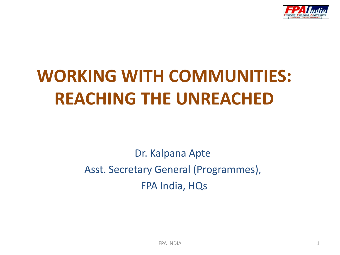

# **WORKING WITH COMMUNITIES: REACHING THE UNREACHED**

Dr. Kalpana Apte Asst. Secretary General (Programmes), FPA India, HQs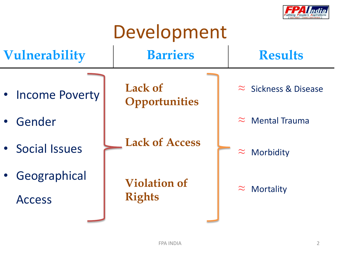

# Development

| <b>Vulnerability</b>                       | <b>Barriers</b>                        | <b>Results</b>               |
|--------------------------------------------|----------------------------------------|------------------------------|
| • Income Poverty                           | <b>Lack of</b><br><b>Opportunities</b> | $\approx$ Sickness & Disease |
| Gender<br>$\bullet$                        |                                        | $\approx$ Mental Trauma      |
| • Social Issues                            | <b>Lack of Access</b>                  | Morbidity<br>$\approx$       |
| Geographical<br>$\bullet$<br><b>Access</b> | <b>Violation of</b><br><b>Rights</b>   | $\approx$<br>Mortality       |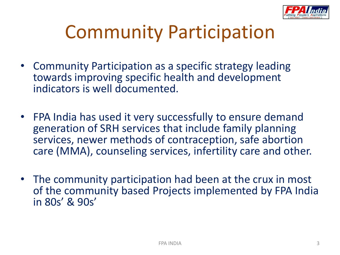

# Community Participation

- Community Participation as a specific strategy leading towards improving specific health and development indicators is well documented.
- FPA India has used it very successfully to ensure demand generation of SRH services that include family planning services, newer methods of contraception, safe abortion care (MMA), counseling services, infertility care and other.
- The community participation had been at the crux in most of the community based Projects implemented by FPA India in 80s' & 90s'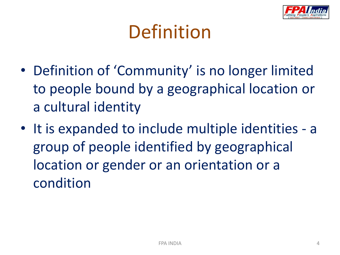

# Definition

- Definition of 'Community' is no longer limited to people bound by a geographical location or a cultural identity
- It is expanded to include multiple identities a group of people identified by geographical location or gender or an orientation or a condition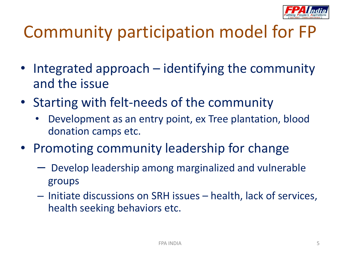

### Community participation model for FP

- Integrated approach identifying the community and the issue
- Starting with felt-needs of the community
	- Development as an entry point, ex Tree plantation, blood donation camps etc.
- Promoting community leadership for change
	- Develop leadership among marginalized and vulnerable groups
	- Initiate discussions on SRH issues health, lack of services, health seeking behaviors etc.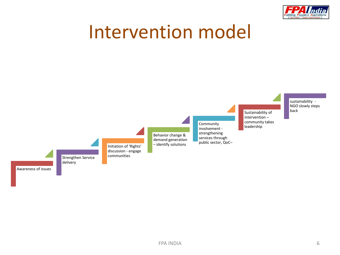

### Intervention model

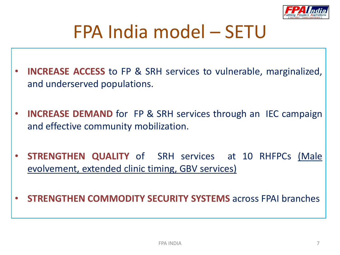

### FPA India model – SETU

- **INCREASE ACCESS** to FP & SRH services to vulnerable, marginalized, and underserved populations.
- **INCREASE DEMAND** for FP & SRH services through an IEC campaign and effective community mobilization.
- **STRENGTHEN QUALITY** of SRH services at 10 RHFPCs (Male evolvement, extended clinic timing, GBV services)

• **STRENGTHEN COMMODITY SECURITY SYSTEMS** across FPAI branches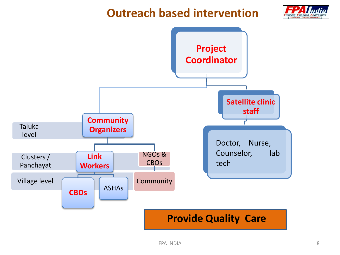#### **Outreach based intervention**



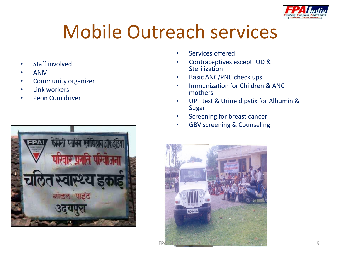

# Mobile Outreach services

- Staff involved
- ANM
- Community organizer
- Link workers
- Peon Cum driver



- Services offered
- Contraceptives except IUD & **Sterilization**
- Basic ANC/PNC check ups
- Immunization for Children & ANC mothers
- UPT test & Urine dipstix for Albumin & Sugar
- Screening for breast cancer
- GBV screening & Counseling

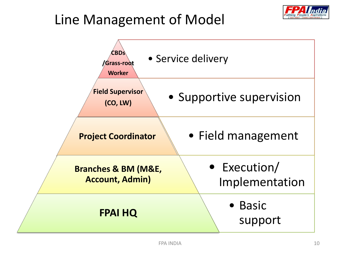### Line Management of Model



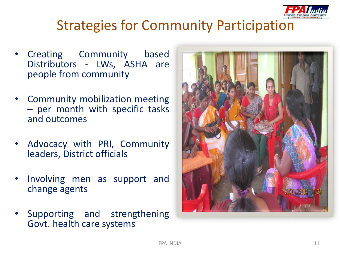

#### Strategies for Community Participation

- Creating Community based Distributors - LWs, ASHA are people from community
- Community mobilization meeting – per month with specific tasks and outcomes
- Advocacy with PRI, Community leaders, District officials
- Involving men as support and change agents
- Supporting and strengthening Govt. health care systems

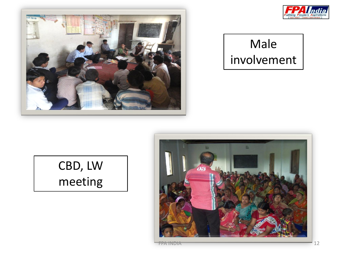



#### Male involvement

#### CBD, LW meeting

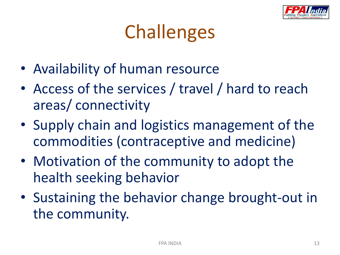

# **Challenges**

- Availability of human resource
- Access of the services / travel / hard to reach areas/ connectivity
- Supply chain and logistics management of the commodities (contraceptive and medicine)
- Motivation of the community to adopt the health seeking behavior
- Sustaining the behavior change brought-out in the community.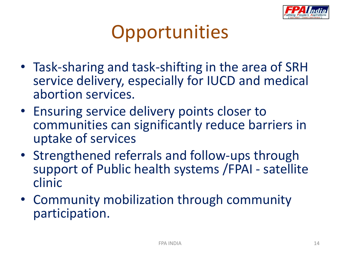

# **Opportunities**

- Task-sharing and task-shifting in the area of SRH service delivery, especially for IUCD and medical abortion services.
- Ensuring service delivery points closer to communities can significantly reduce barriers in uptake of services
- Strengthened referrals and follow-ups through support of Public health systems /FPAI - satellite clinic
- Community mobilization through community participation.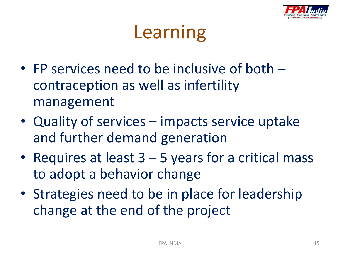

# Learning

- FP services need to be inclusive of both contraception as well as infertility management
- Quality of services impacts service uptake and further demand generation
- Requires at least  $3 5$  years for a critical mass to adopt a behavior change
- Strategies need to be in place for leadership change at the end of the project